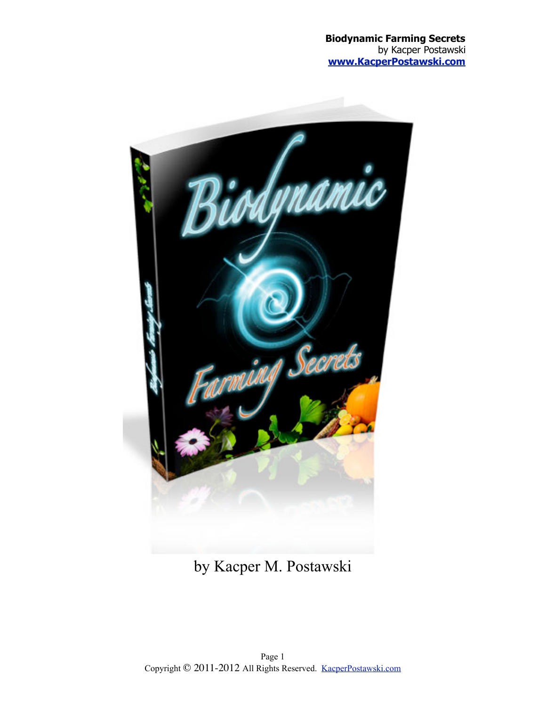

by Kacper M. Postawski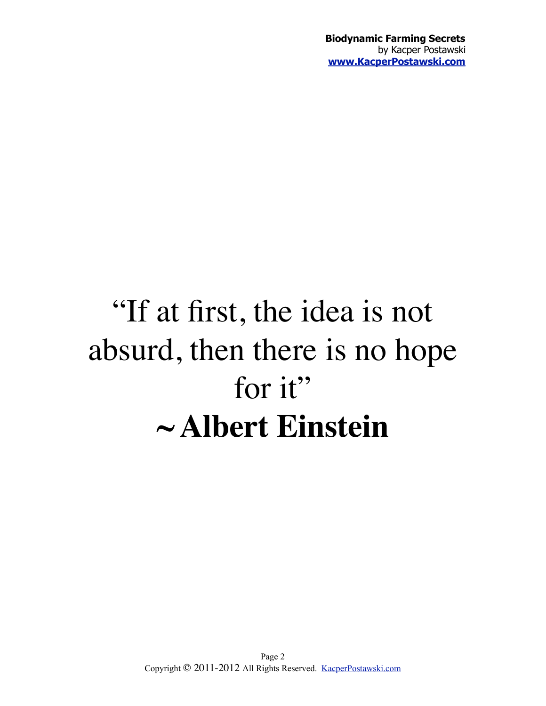# "If at first, the idea is not absurd, then there is no hope for it" **~ Albert Einstein**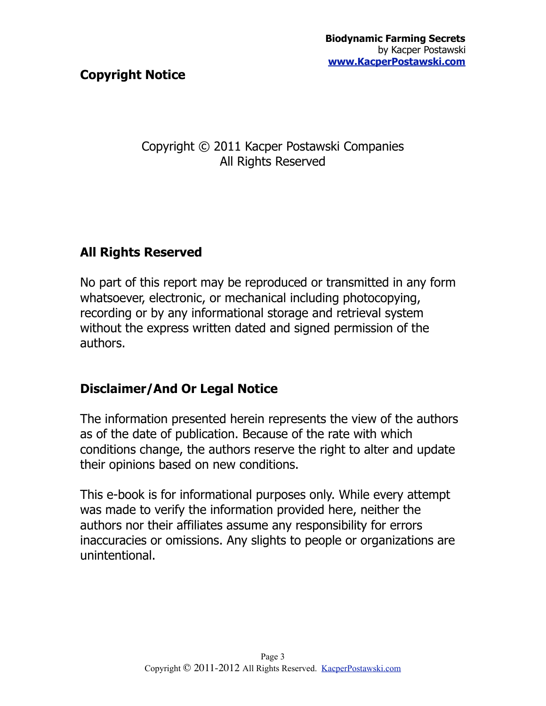#### **Copyright Notice**

#### Copyright © 2011 Kacper Postawski Companies All Rights Reserved

#### **All Rights Reserved**

No part of this report may be reproduced or transmitted in any form whatsoever, electronic, or mechanical including photocopying, recording or by any informational storage and retrieval system without the express written dated and signed permission of the authors.

#### **Disclaimer/And Or Legal Notice**

The information presented herein represents the view of the authors as of the date of publication. Because of the rate with which conditions change, the authors reserve the right to alter and update their opinions based on new conditions.

This e-book is for informational purposes only. While every attempt was made to verify the information provided here, neither the authors nor their affiliates assume any responsibility for errors inaccuracies or omissions. Any slights to people or organizations are unintentional.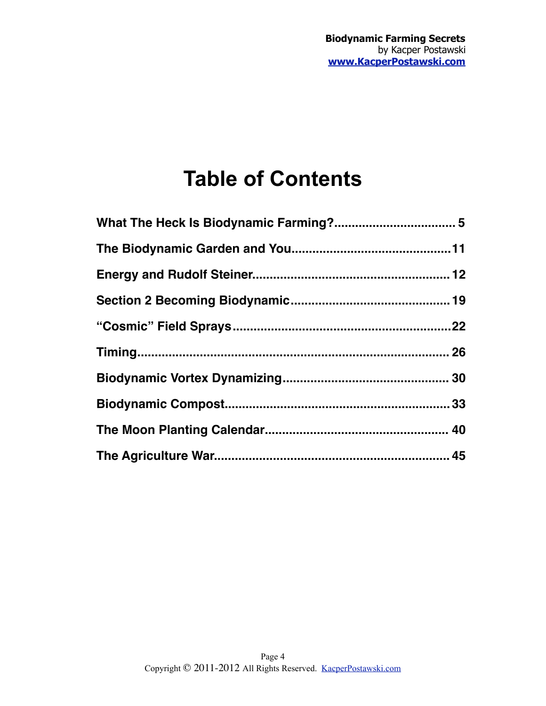## **Table of Contents**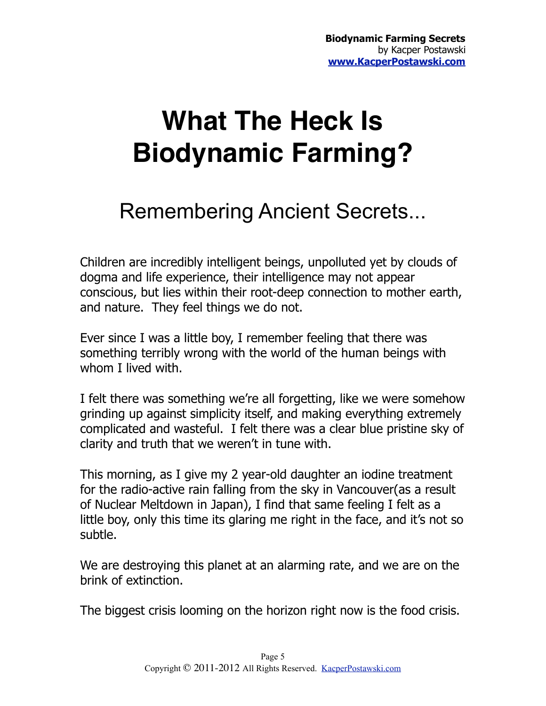# <span id="page-4-0"></span>**What The Heck Is Biodynamic Farming?**

## Remembering Ancient Secrets...

Children are incredibly intelligent beings, unpolluted yet by clouds of dogma and life experience, their intelligence may not appear conscious, but lies within their root-deep connection to mother earth, and nature. They feel things we do not.

Ever since I was a little boy, I remember feeling that there was something terribly wrong with the world of the human beings with whom I lived with.

I felt there was something we're all forgetting, like we were somehow grinding up against simplicity itself, and making everything extremely complicated and wasteful. I felt there was a clear blue pristine sky of clarity and truth that we weren't in tune with.

This morning, as I give my 2 year-old daughter an iodine treatment for the radio-active rain falling from the sky in Vancouver(as a result of Nuclear Meltdown in Japan), I find that same feeling I felt as a little boy, only this time its glaring me right in the face, and it's not so subtle.

We are destroying this planet at an alarming rate, and we are on the brink of extinction.

The biggest crisis looming on the horizon right now is the food crisis.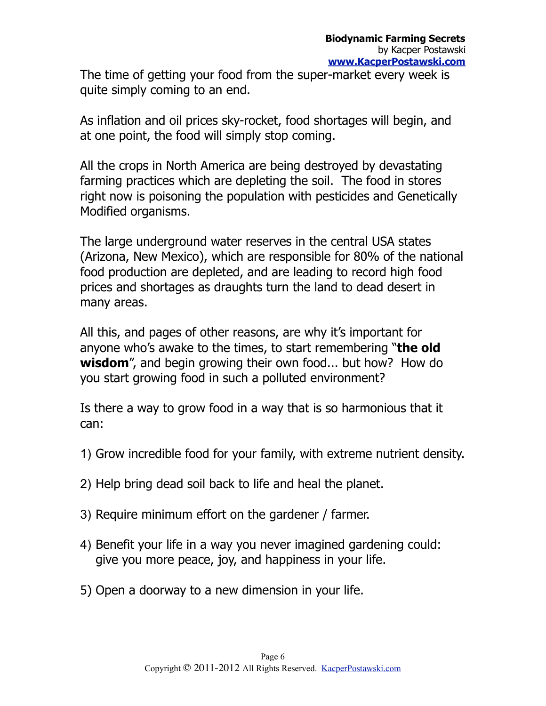The time of getting your food from the super-market every week is quite simply coming to an end.

As inflation and oil prices sky-rocket, food shortages will begin, and at one point, the food will simply stop coming.

All the crops in North America are being destroyed by devastating farming practices which are depleting the soil. The food in stores right now is poisoning the population with pesticides and Genetically Modified organisms.

The large underground water reserves in the central USA states (Arizona, New Mexico), which are responsible for 80% of the national food production are depleted, and are leading to record high food prices and shortages as draughts turn the land to dead desert in many areas.

All this, and pages of other reasons, are why it's important for anyone who's awake to the times, to start remembering "**the old wisdom**", and begin growing their own food... but how? How do you start growing food in such a polluted environment?

Is there a way to grow food in a way that is so harmonious that it can:

- 1) Grow incredible food for your family, with extreme nutrient density.
- 2) Help bring dead soil back to life and heal the planet.
- 3) Require minimum effort on the gardener / farmer.
- 4) Benefit your life in a way you never imagined gardening could: give you more peace, joy, and happiness in your life.
- 5) Open a doorway to a new dimension in your life.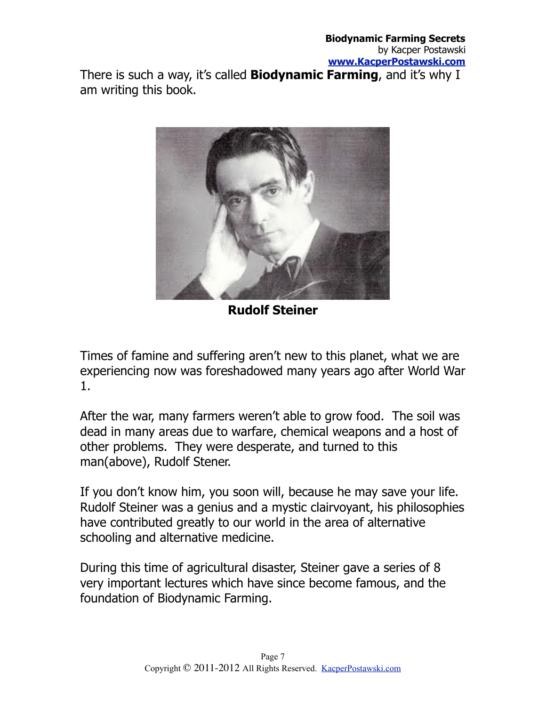There is such a way, it's called **Biodynamic Farming**, and it's why I am writing this book.



**Rudolf Steiner**

Times of famine and suffering aren't new to this planet, what we are experiencing now was foreshadowed many years ago after World War 1.

After the war, many farmers weren't able to grow food. The soil was dead in many areas due to warfare, chemical weapons and a host of other problems. They were desperate, and turned to this man(above), Rudolf Stener.

If you don't know him, you soon will, because he may save your life. Rudolf Steiner was a genius and a mystic clairvoyant, his philosophies have contributed greatly to our world in the area of alternative schooling and alternative medicine.

During this time of agricultural disaster, Steiner gave a series of 8 very important lectures which have since become famous, and the foundation of Biodynamic Farming.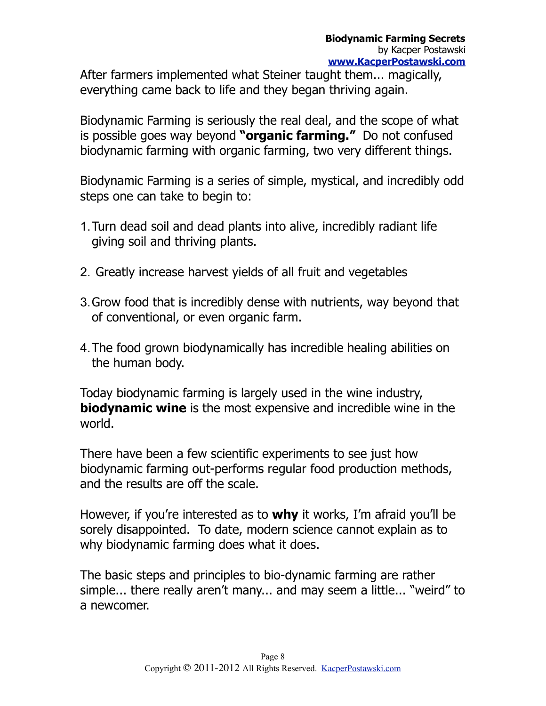After farmers implemented what Steiner taught them... magically, everything came back to life and they began thriving again.

Biodynamic Farming is seriously the real deal, and the scope of what is possible goes way beyond **"organic farming."** Do not confused biodynamic farming with organic farming, two very different things.

Biodynamic Farming is a series of simple, mystical, and incredibly odd steps one can take to begin to:

- 1.Turn dead soil and dead plants into alive, incredibly radiant life giving soil and thriving plants.
- 2. Greatly increase harvest yields of all fruit and vegetables
- 3.Grow food that is incredibly dense with nutrients, way beyond that of conventional, or even organic farm.
- 4.The food grown biodynamically has incredible healing abilities on the human body.

Today biodynamic farming is largely used in the wine industry, **biodynamic wine** is the most expensive and incredible wine in the world.

There have been a few scientific experiments to see just how biodynamic farming out-performs regular food production methods, and the results are off the scale.

However, if you're interested as to **why** it works, I'm afraid you'll be sorely disappointed. To date, modern science cannot explain as to why biodynamic farming does what it does.

The basic steps and principles to bio-dynamic farming are rather simple... there really aren't many... and may seem a little... "weird" to a newcomer.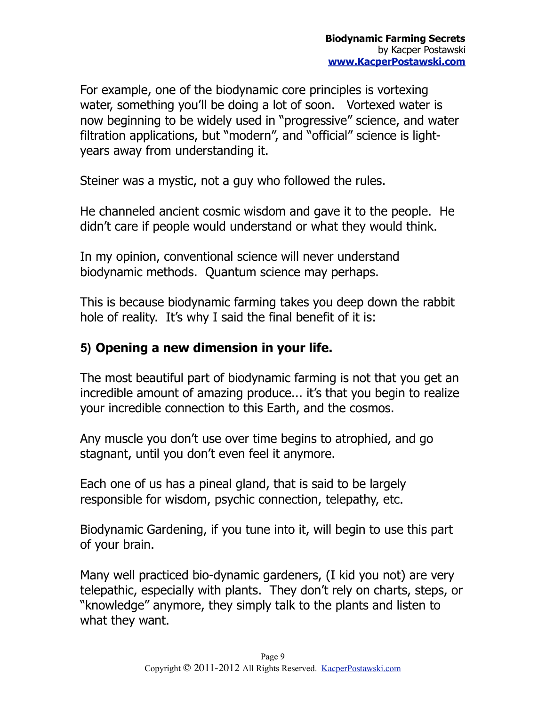For example, one of the biodynamic core principles is vortexing water, something you'll be doing a lot of soon. Vortexed water is now beginning to be widely used in "progressive" science, and water filtration applications, but "modern", and "official" science is lightyears away from understanding it.

Steiner was a mystic, not a guy who followed the rules.

He channeled ancient cosmic wisdom and gave it to the people. He didn't care if people would understand or what they would think.

In my opinion, conventional science will never understand biodynamic methods. Quantum science may perhaps.

This is because biodynamic farming takes you deep down the rabbit hole of reality. It's why I said the final benefit of it is:

#### **5) Opening a new dimension in your life.**

The most beautiful part of biodynamic farming is not that you get an incredible amount of amazing produce... it's that you begin to realize your incredible connection to this Earth, and the cosmos.

Any muscle you don't use over time begins to atrophied, and go stagnant, until you don't even feel it anymore.

Each one of us has a pineal gland, that is said to be largely responsible for wisdom, psychic connection, telepathy, etc.

Biodynamic Gardening, if you tune into it, will begin to use this part of your brain.

Many well practiced bio-dynamic gardeners, (I kid you not) are very telepathic, especially with plants. They don't rely on charts, steps, or "knowledge" anymore, they simply talk to the plants and listen to what they want.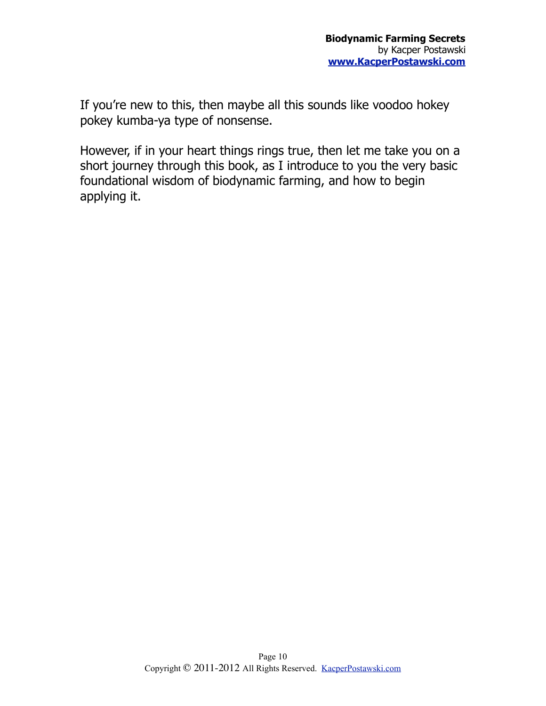If you're new to this, then maybe all this sounds like voodoo hokey pokey kumba-ya type of nonsense.

However, if in your heart things rings true, then let me take you on a short journey through this book, as I introduce to you the very basic foundational wisdom of biodynamic farming, and how to begin applying it.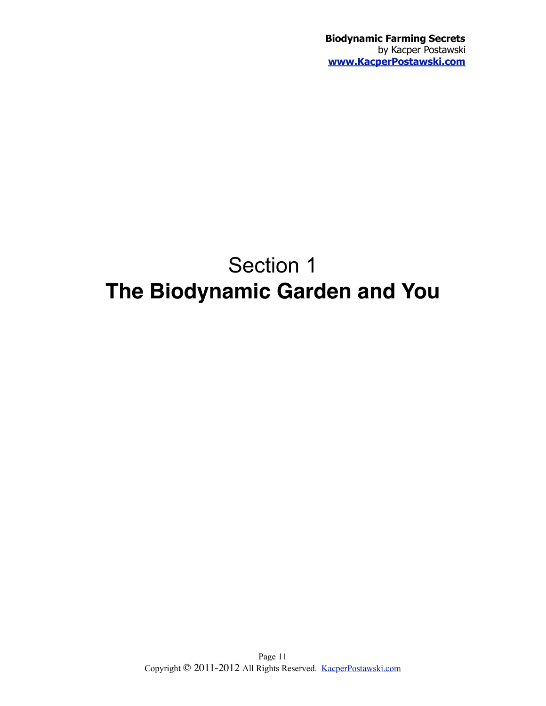## <span id="page-10-0"></span>Section 1 **The Biodynamic Garden and You**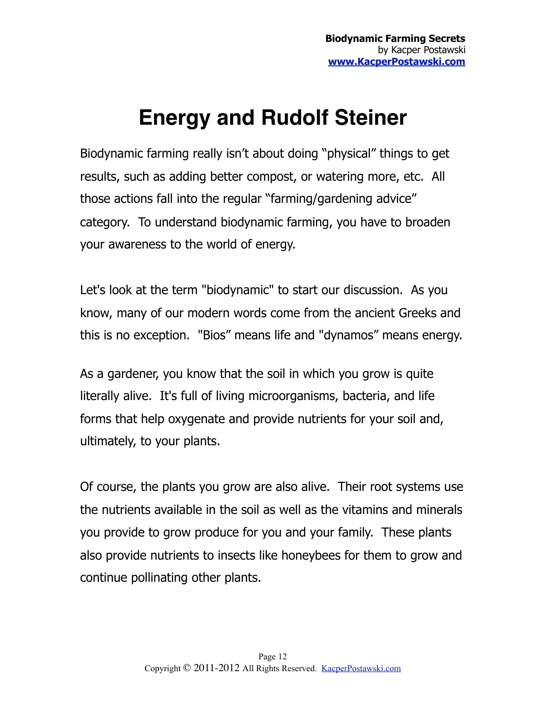## <span id="page-11-0"></span>**Energy and Rudolf Steiner**

Biodynamic farming really isn't about doing "physical" things to get results, such as adding better compost, or watering more, etc. All those actions fall into the regular "farming/gardening advice" category. To understand biodynamic farming, you have to broaden your awareness to the world of energy.

Let's look at the term "biodynamic" to start our discussion. As you know, many of our modern words come from the ancient Greeks and this is no exception. "Bios" means life and "dynamos" means energy.

As a gardener, you know that the soil in which you grow is quite literally alive. It's full of living microorganisms, bacteria, and life forms that help oxygenate and provide nutrients for your soil and, ultimately, to your plants.

Of course, the plants you grow are also alive. Their root systems use the nutrients available in the soil as well as the vitamins and minerals you provide to grow produce for you and your family. These plants also provide nutrients to insects like honeybees for them to grow and continue pollinating other plants.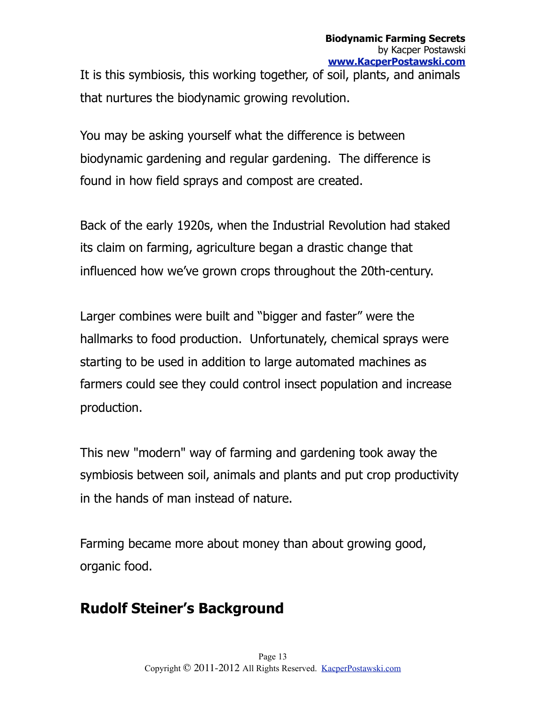It is this symbiosis, this working together, of soil, plants, and animals that nurtures the biodynamic growing revolution.

You may be asking yourself what the difference is between biodynamic gardening and regular gardening. The difference is found in how field sprays and compost are created.

Back of the early 1920s, when the Industrial Revolution had staked its claim on farming, agriculture began a drastic change that influenced how we've grown crops throughout the 20th-century.

Larger combines were built and "bigger and faster" were the hallmarks to food production. Unfortunately, chemical sprays were starting to be used in addition to large automated machines as farmers could see they could control insect population and increase production.

This new "modern" way of farming and gardening took away the symbiosis between soil, animals and plants and put crop productivity in the hands of man instead of nature.

Farming became more about money than about growing good, organic food.

### **Rudolf Steiner's Background**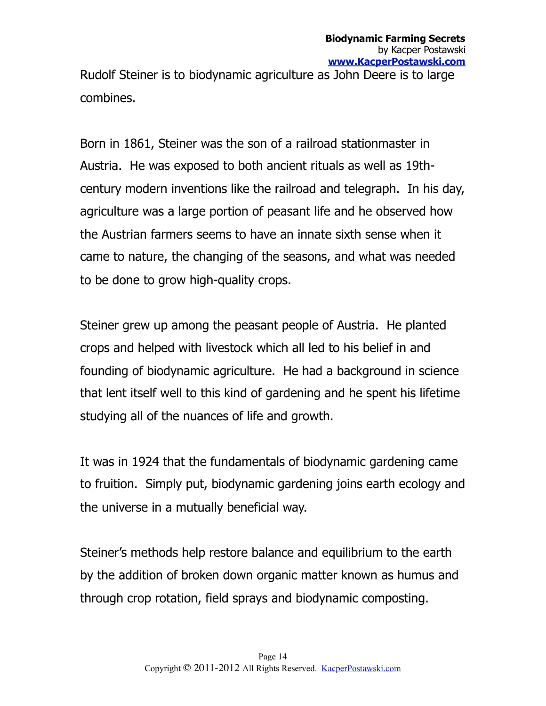Rudolf Steiner is to biodynamic agriculture as John Deere is to large combines.

Born in 1861, Steiner was the son of a railroad stationmaster in Austria. He was exposed to both ancient rituals as well as 19thcentury modern inventions like the railroad and telegraph. In his day, agriculture was a large portion of peasant life and he observed how the Austrian farmers seems to have an innate sixth sense when it came to nature, the changing of the seasons, and what was needed to be done to grow high-quality crops.

Steiner grew up among the peasant people of Austria. He planted crops and helped with livestock which all led to his belief in and founding of biodynamic agriculture. He had a background in science that lent itself well to this kind of gardening and he spent his lifetime studying all of the nuances of life and growth.

It was in 1924 that the fundamentals of biodynamic gardening came to fruition. Simply put, biodynamic gardening joins earth ecology and the universe in a mutually beneficial way.

Steiner's methods help restore balance and equilibrium to the earth by the addition of broken down organic matter known as humus and through crop rotation, field sprays and biodynamic composting.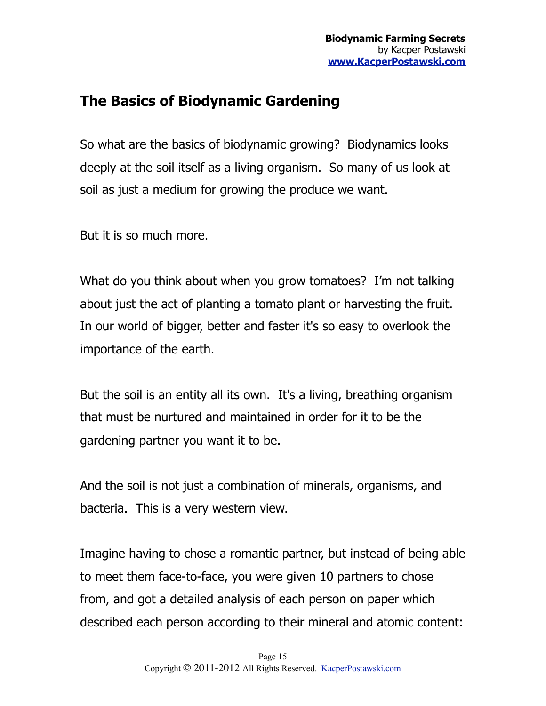### **The Basics of Biodynamic Gardening**

So what are the basics of biodynamic growing? Biodynamics looks deeply at the soil itself as a living organism. So many of us look at soil as just a medium for growing the produce we want.

But it is so much more.

What do you think about when you grow tomatoes? I'm not talking about just the act of planting a tomato plant or harvesting the fruit. In our world of bigger, better and faster it's so easy to overlook the importance of the earth.

But the soil is an entity all its own. It's a living, breathing organism that must be nurtured and maintained in order for it to be the gardening partner you want it to be.

And the soil is not just a combination of minerals, organisms, and bacteria. This is a very western view.

Imagine having to chose a romantic partner, but instead of being able to meet them face-to-face, you were given 10 partners to chose from, and got a detailed analysis of each person on paper which described each person according to their mineral and atomic content: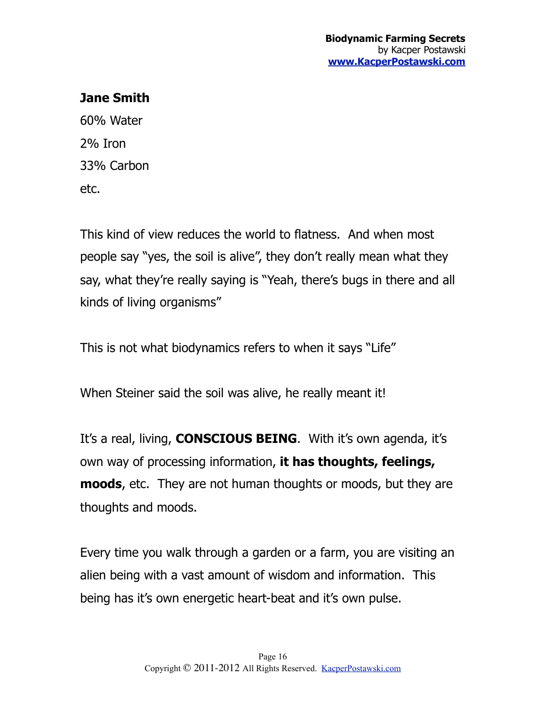#### **Jane Smith**

60% Water 2% Iron 33% Carbon etc.

This kind of view reduces the world to flatness. And when most people say "yes, the soil is alive", they don't really mean what they say, what they're really saying is "Yeah, there's bugs in there and all kinds of living organisms"

This is not what biodynamics refers to when it says "Life"

When Steiner said the soil was alive, he really meant it!

It's a real, living, **CONSCIOUS BEING**. With it's own agenda, it's own way of processing information, **it has thoughts, feelings, moods**, etc. They are not human thoughts or moods, but they are thoughts and moods.

Every time you walk through a garden or a farm, you are visiting an alien being with a vast amount of wisdom and information. This being has it's own energetic heart-beat and it's own pulse.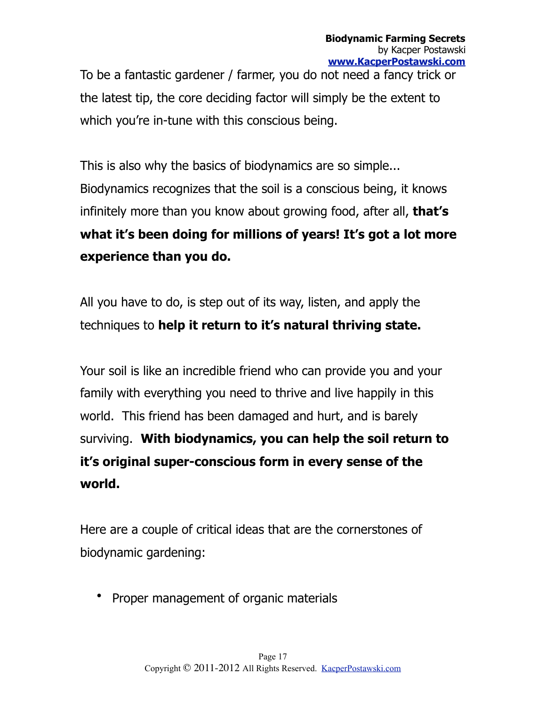To be a fantastic gardener / farmer, you do not need a fancy trick or the latest tip, the core deciding factor will simply be the extent to which you're in-tune with this conscious being.

This is also why the basics of biodynamics are so simple... Biodynamics recognizes that the soil is a conscious being, it knows infinitely more than you know about growing food, after all, **that's what it's been doing for millions of years! It's got a lot more experience than you do.**

All you have to do, is step out of its way, listen, and apply the techniques to **help it return to it's natural thriving state.**

Your soil is like an incredible friend who can provide you and your family with everything you need to thrive and live happily in this world. This friend has been damaged and hurt, and is barely surviving. **With biodynamics, you can help the soil return to it's original super-conscious form in every sense of the world.**

Here are a couple of critical ideas that are the cornerstones of biodynamic gardening:

• Proper management of organic materials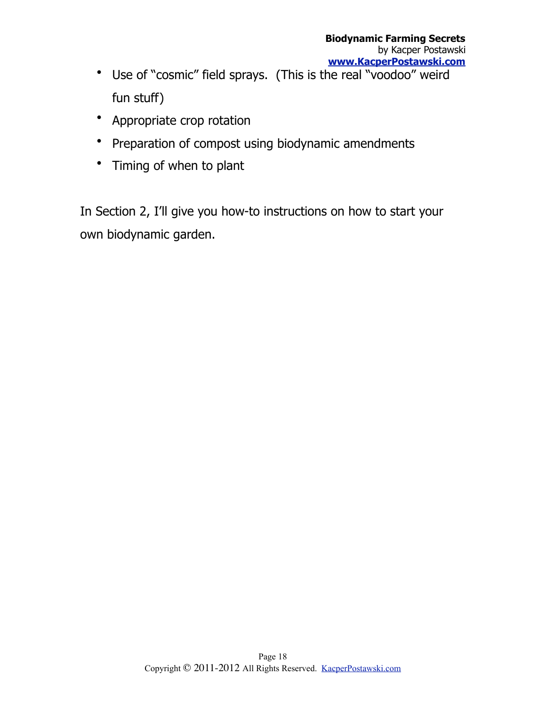- Use of "cosmic" field sprays. (This is the real "voodoo" weird fun stuff)
- Appropriate crop rotation
- Preparation of compost using biodynamic amendments
- Timing of when to plant

In Section 2, I'll give you how-to instructions on how to start your own biodynamic garden.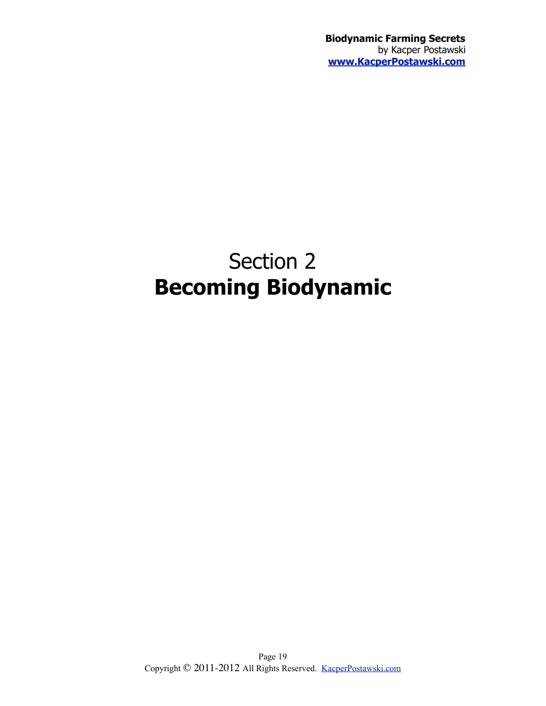**Biodynamic Farming Secrets** by Kacper Postawski **[www.KacperPostawski.com](http://www.KacperPostawski.com)**

## <span id="page-18-0"></span>Section 2 **Becoming Biodynamic**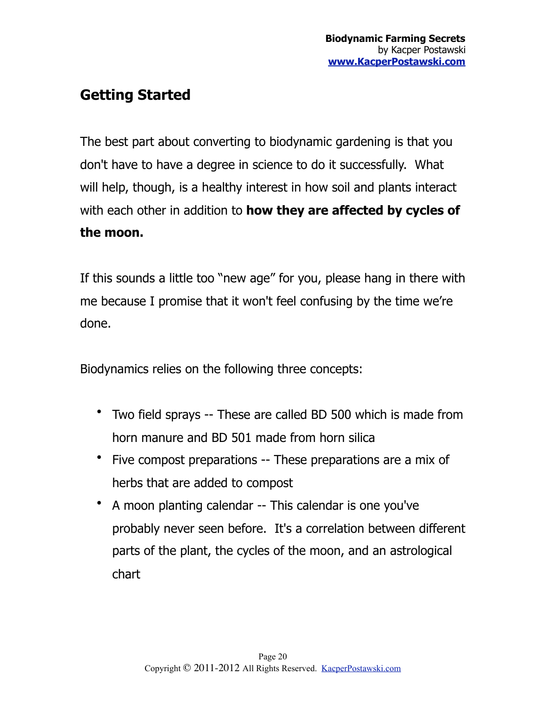### **Getting Started**

The best part about converting to biodynamic gardening is that you don't have to have a degree in science to do it successfully. What will help, though, is a healthy interest in how soil and plants interact with each other in addition to **how they are affected by cycles of the moon.**

If this sounds a little too "new age" for you, please hang in there with me because I promise that it won't feel confusing by the time we're done.

Biodynamics relies on the following three concepts:

- Two field sprays -- These are called BD 500 which is made from horn manure and BD 501 made from horn silica
- Five compost preparations -- These preparations are a mix of herbs that are added to compost
- A moon planting calendar -- This calendar is one you've probably never seen before. It's a correlation between different parts of the plant, the cycles of the moon, and an astrological chart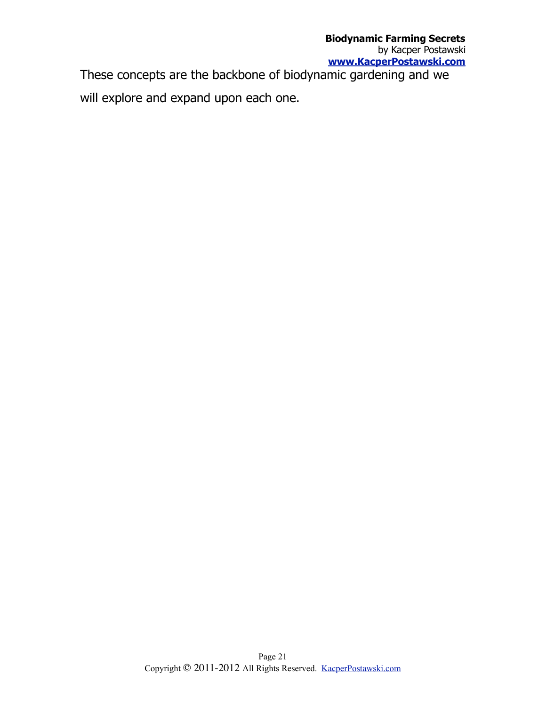These concepts are the backbone of biodynamic gardening and we will explore and expand upon each one.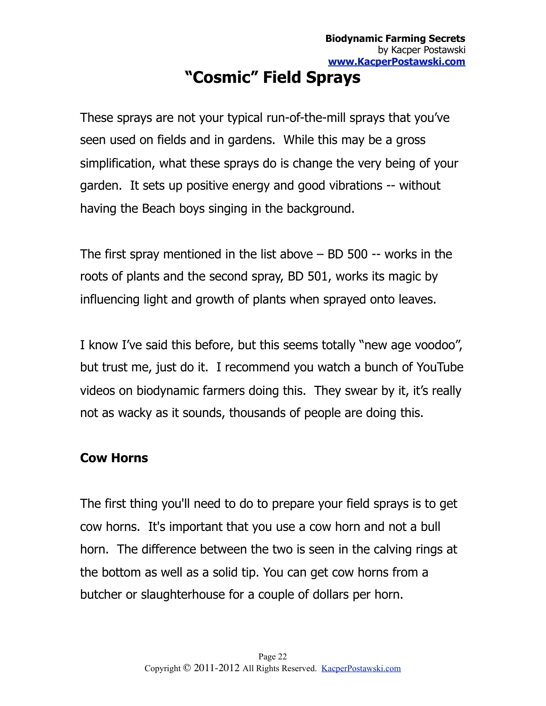## <span id="page-21-0"></span>**"Cosmic" Field Sprays**

These sprays are not your typical run-of-the-mill sprays that you've seen used on fields and in gardens. While this may be a gross simplification, what these sprays do is change the very being of your garden. It sets up positive energy and good vibrations -- without having the Beach boys singing in the background.

The first spray mentioned in the list above – BD 500 -- works in the roots of plants and the second spray, BD 501, works its magic by influencing light and growth of plants when sprayed onto leaves.

I know I've said this before, but this seems totally "new age voodoo", but trust me, just do it. I recommend you watch a bunch of YouTube videos on biodynamic farmers doing this. They swear by it, it's really not as wacky as it sounds, thousands of people are doing this.

#### **Cow Horns**

The first thing you'll need to do to prepare your field sprays is to get cow horns. It's important that you use a cow horn and not a bull horn. The difference between the two is seen in the calving rings at the bottom as well as a solid tip. You can get cow horns from a butcher or slaughterhouse for a couple of dollars per horn.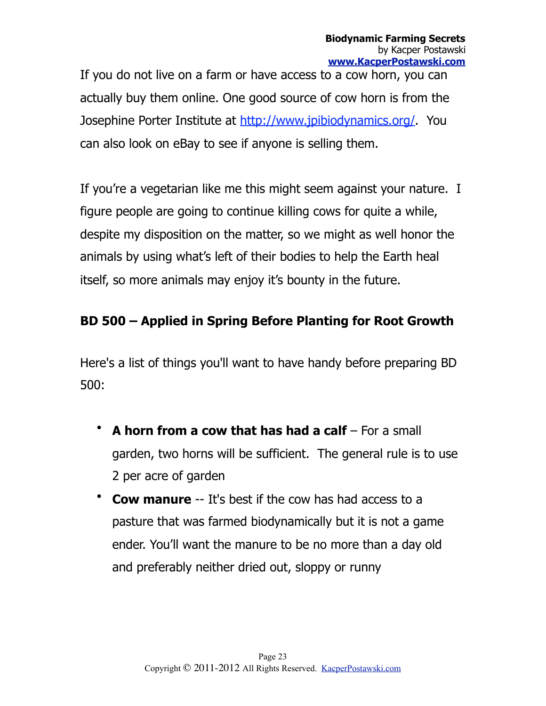If you do not live on a farm or have access to a cow horn, you can actually buy them online. One good source of cow horn is from the Josephine Porter Institute at [http://www.jpibiodynamics.org/.](http://www.jpibiodynamics.org/) You can also look on eBay to see if anyone is selling them.

If you're a vegetarian like me this might seem against your nature. I figure people are going to continue killing cows for quite a while, despite my disposition on the matter, so we might as well honor the animals by using what's left of their bodies to help the Earth heal itself, so more animals may enjoy it's bounty in the future.

#### **BD 500 – Applied in Spring Before Planting for Root Growth**

Here's a list of things you'll want to have handy before preparing BD 500:

- **A horn from a cow that has had a calf** For a small garden, two horns will be sufficient. The general rule is to use 2 per acre of garden
- **Cow manure** -- It's best if the cow has had access to a pasture that was farmed biodynamically but it is not a game ender. You'll want the manure to be no more than a day old and preferably neither dried out, sloppy or runny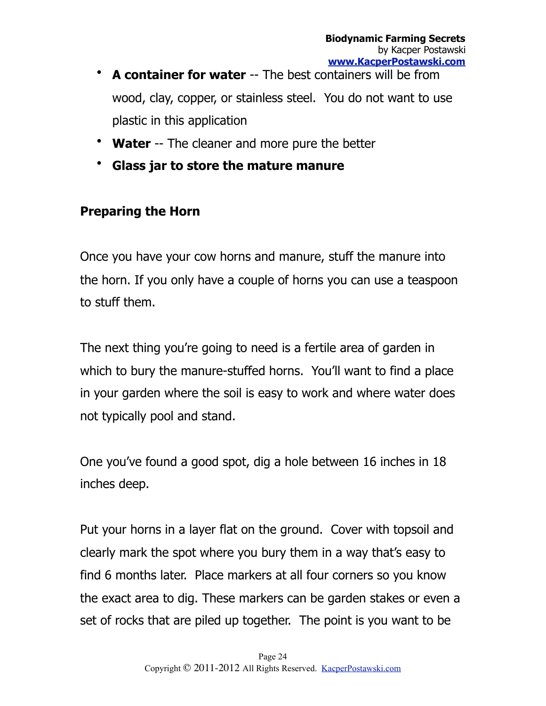- **A container for water** -- The best containers will be from wood, clay, copper, or stainless steel. You do not want to use plastic in this application
- **Water** -- The cleaner and more pure the better
- **Glass jar to store the mature manure**

#### **Preparing the Horn**

Once you have your cow horns and manure, stuff the manure into the horn. If you only have a couple of horns you can use a teaspoon to stuff them.

The next thing you're going to need is a fertile area of garden in which to bury the manure-stuffed horns. You'll want to find a place in your garden where the soil is easy to work and where water does not typically pool and stand.

One you've found a good spot, dig a hole between 16 inches in 18 inches deep.

Put your horns in a layer flat on the ground. Cover with topsoil and clearly mark the spot where you bury them in a way that's easy to find 6 months later. Place markers at all four corners so you know the exact area to dig. These markers can be garden stakes or even a set of rocks that are piled up together. The point is you want to be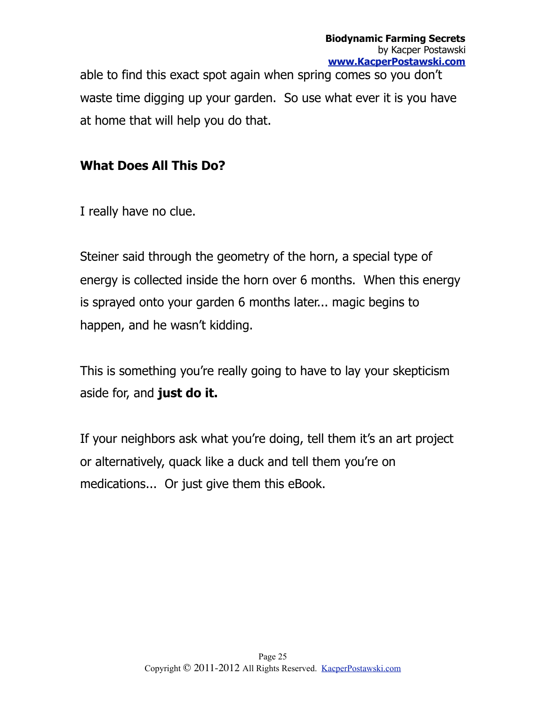able to find this exact spot again when spring comes so you don't waste time digging up your garden. So use what ever it is you have at home that will help you do that.

#### **What Does All This Do?**

I really have no clue.

Steiner said through the geometry of the horn, a special type of energy is collected inside the horn over 6 months. When this energy is sprayed onto your garden 6 months later... magic begins to happen, and he wasn't kidding.

This is something you're really going to have to lay your skepticism aside for, and **just do it.**

If your neighbors ask what you're doing, tell them it's an art project or alternatively, quack like a duck and tell them you're on medications... Or just give them this eBook.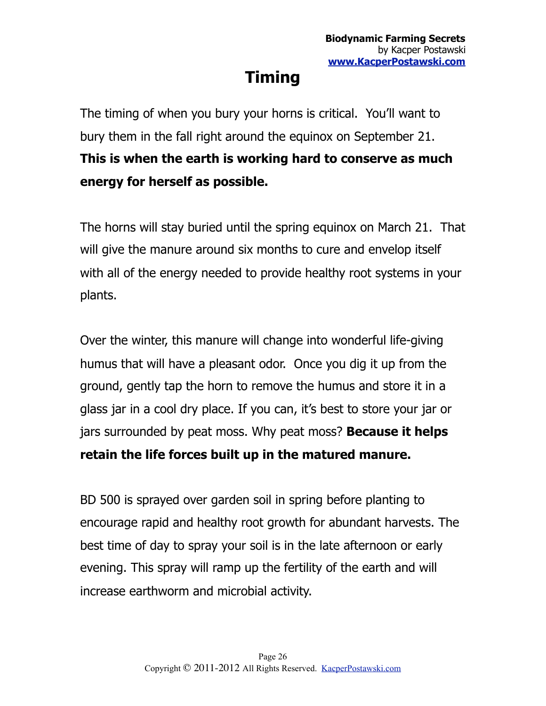## <span id="page-25-0"></span>**Timing**

The timing of when you bury your horns is critical. You'll want to bury them in the fall right around the equinox on September 21. **This is when the earth is working hard to conserve as much energy for herself as possible.**

The horns will stay buried until the spring equinox on March 21. That will give the manure around six months to cure and envelop itself with all of the energy needed to provide healthy root systems in your plants.

Over the winter, this manure will change into wonderful life-giving humus that will have a pleasant odor. Once you dig it up from the ground, gently tap the horn to remove the humus and store it in a glass jar in a cool dry place. If you can, it's best to store your jar or jars surrounded by peat moss. Why peat moss? **Because it helps retain the life forces built up in the matured manure.**

BD 500 is sprayed over garden soil in spring before planting to encourage rapid and healthy root growth for abundant harvests. The best time of day to spray your soil is in the late afternoon or early evening. This spray will ramp up the fertility of the earth and will increase earthworm and microbial activity.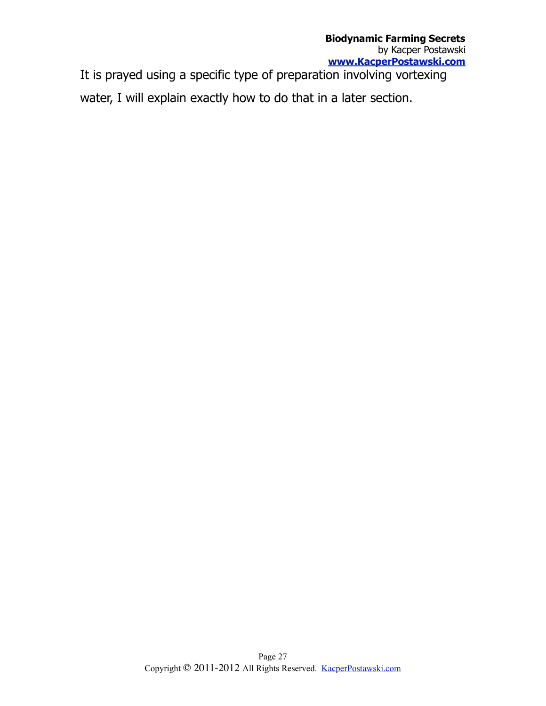It is prayed using a specific type of preparation involving vortexing water, I will explain exactly how to do that in a later section.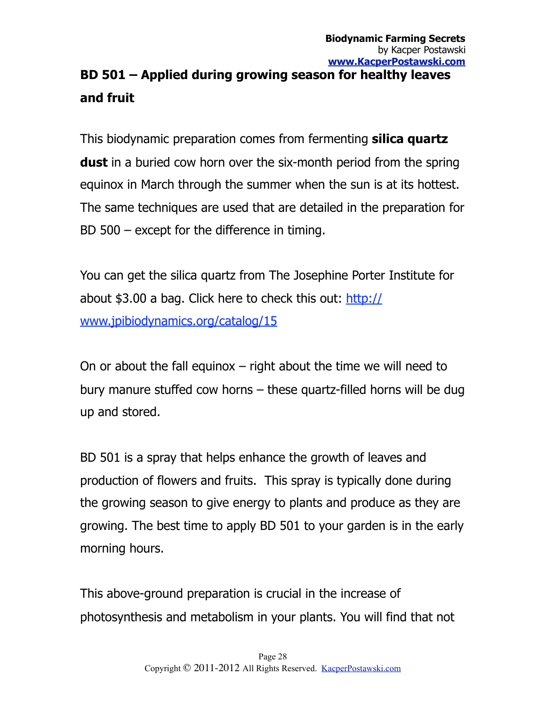### **BD 501 – Applied during growing season for healthy leaves and fruit**

This biodynamic preparation comes from fermenting **silica quartz dust** in a buried cow horn over the six-month period from the spring equinox in March through the summer when the sun is at its hottest. The same techniques are used that are detailed in the preparation for BD 500 – except for the difference in timing.

You can get the silica quartz from The Josephine Porter Institute for about \$3.00 a bag. Click here to check this out: [http://](http://www.jpibiodynamics.org/catalog/15) [www.jpibiodynamics.org/catalog/15](http://www.jpibiodynamics.org/catalog/15)

On or about the fall equinox  $-$  right about the time we will need to bury manure stuffed cow horns – these quartz-filled horns will be dug up and stored.

BD 501 is a spray that helps enhance the growth of leaves and production of flowers and fruits. This spray is typically done during the growing season to give energy to plants and produce as they are growing. The best time to apply BD 501 to your garden is in the early morning hours.

This above-ground preparation is crucial in the increase of photosynthesis and metabolism in your plants. You will find that not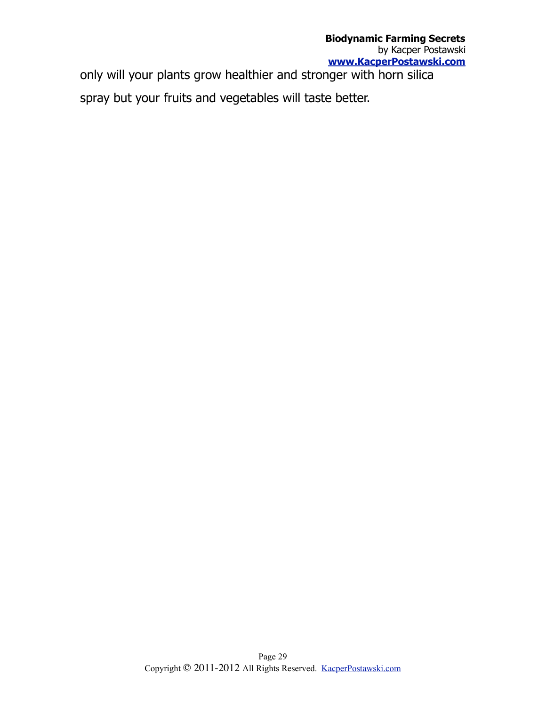only will your plants grow healthier and stronger with horn silica spray but your fruits and vegetables will taste better.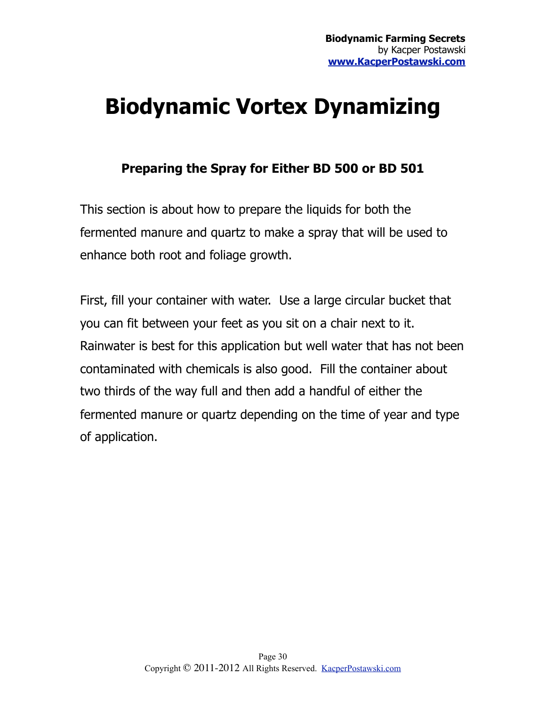## <span id="page-29-0"></span>**Biodynamic Vortex Dynamizing**

#### **Preparing the Spray for Either BD 500 or BD 501**

This section is about how to prepare the liquids for both the fermented manure and quartz to make a spray that will be used to enhance both root and foliage growth.

First, fill your container with water. Use a large circular bucket that you can fit between your feet as you sit on a chair next to it. Rainwater is best for this application but well water that has not been contaminated with chemicals is also good. Fill the container about two thirds of the way full and then add a handful of either the fermented manure or quartz depending on the time of year and type of application.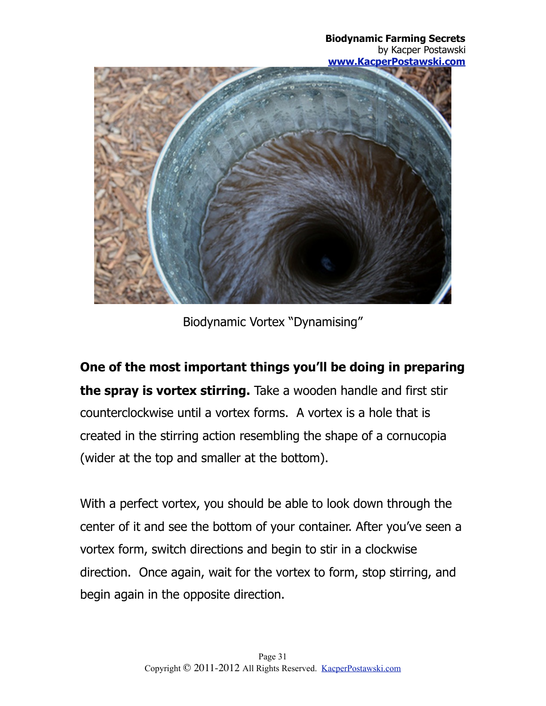**Biodynamic Farming Secrets** by Kacper Postawski **[www.KacperPostawski.com](http://www.KacperPostawski.com)**



Biodynamic Vortex "Dynamising"

**One of the most important things you'll be doing in preparing the spray is vortex stirring.** Take a wooden handle and first stir counterclockwise until a vortex forms. A vortex is a hole that is created in the stirring action resembling the shape of a cornucopia (wider at the top and smaller at the bottom).

With a perfect vortex, you should be able to look down through the center of it and see the bottom of your container. After you've seen a vortex form, switch directions and begin to stir in a clockwise direction. Once again, wait for the vortex to form, stop stirring, and begin again in the opposite direction.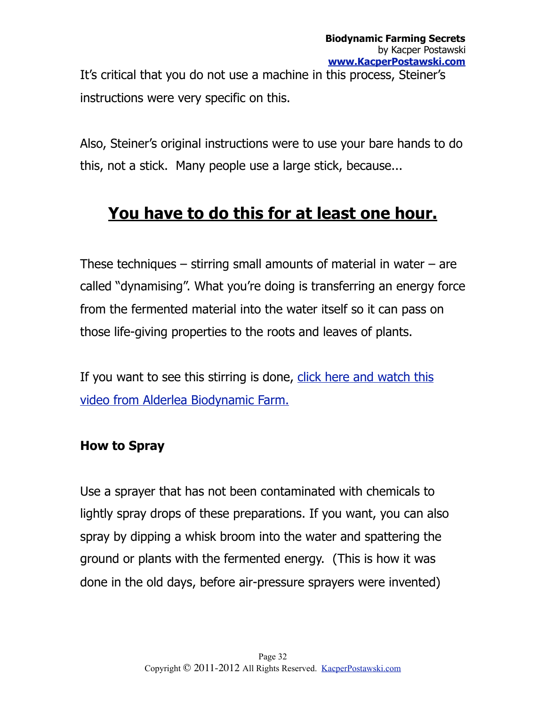It's critical that you do not use a machine in this process, Steiner's instructions were very specific on this.

Also, Steiner's original instructions were to use your bare hands to do this, not a stick. Many people use a large stick, because...

## **You have to do this for at least one hour.**

These techniques  $-$  stirring small amounts of material in water  $-$  are called "dynamising". What you're doing is transferring an energy force from the fermented material into the water itself so it can pass on those life-giving properties to the roots and leaves of plants.

If you want to see this stirring is done, click here and watch this [video from Alderlea Biodynamic Farm.](http://www.youtube.com/watch?v=fhJg_0ouUTM&playnext=1&list=PL4581B9996B0CD85D)

#### **How to Spray**

Use a sprayer that has not been contaminated with chemicals to lightly spray drops of these preparations. If you want, you can also spray by dipping a whisk broom into the water and spattering the ground or plants with the fermented energy. (This is how it was done in the old days, before air-pressure sprayers were invented)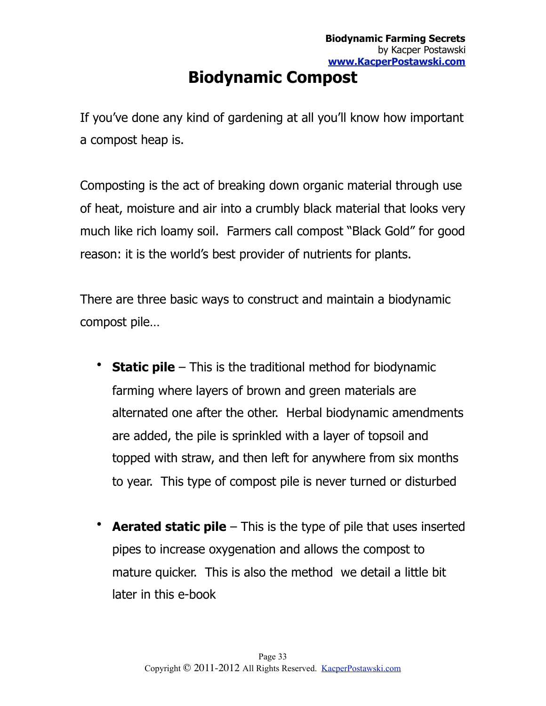## <span id="page-32-0"></span>**Biodynamic Compost**

If you've done any kind of gardening at all you'll know how important a compost heap is.

Composting is the act of breaking down organic material through use of heat, moisture and air into a crumbly black material that looks very much like rich loamy soil. Farmers call compost "Black Gold" for good reason: it is the world's best provider of nutrients for plants.

There are three basic ways to construct and maintain a biodynamic compost pile…

- **Static pile** This is the traditional method for biodynamic farming where layers of brown and green materials are alternated one after the other. Herbal biodynamic amendments are added, the pile is sprinkled with a layer of topsoil and topped with straw, and then left for anywhere from six months to year. This type of compost pile is never turned or disturbed
- **Aerated static pile** This is the type of pile that uses inserted pipes to increase oxygenation and allows the compost to mature quicker. This is also the method we detail a little bit later in this e-book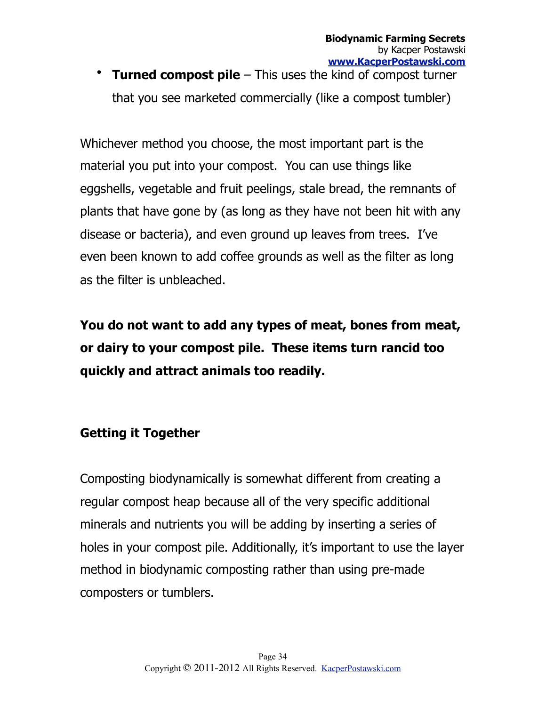• **Turned compost pile** – This uses the kind of compost turner that you see marketed commercially (like a compost tumbler)

Whichever method you choose, the most important part is the material you put into your compost. You can use things like eggshells, vegetable and fruit peelings, stale bread, the remnants of plants that have gone by (as long as they have not been hit with any disease or bacteria), and even ground up leaves from trees. I've even been known to add coffee grounds as well as the filter as long as the filter is unbleached.

**You do not want to add any types of meat, bones from meat, or dairy to your compost pile. These items turn rancid too quickly and attract animals too readily.**

#### **Getting it Together**

Composting biodynamically is somewhat different from creating a regular compost heap because all of the very specific additional minerals and nutrients you will be adding by inserting a series of holes in your compost pile. Additionally, it's important to use the layer method in biodynamic composting rather than using pre-made composters or tumblers.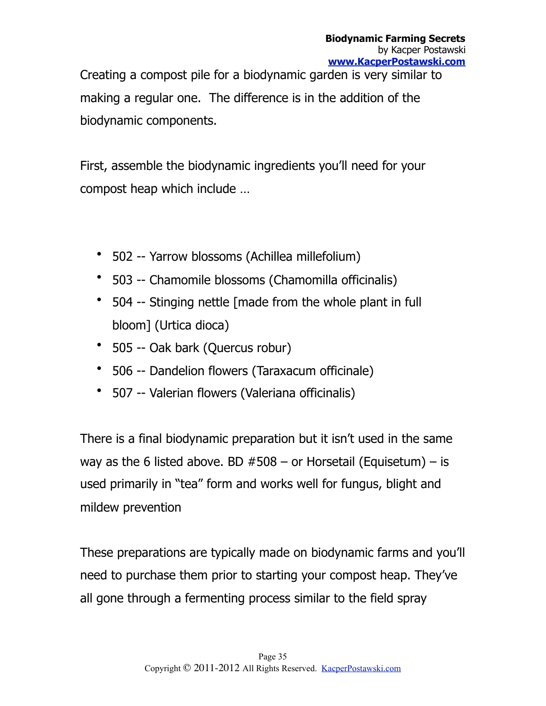Creating a compost pile for a biodynamic garden is very similar to making a regular one. The difference is in the addition of the biodynamic components.

First, assemble the biodynamic ingredients you'll need for your compost heap which include …

- 502 -- Yarrow blossoms (Achillea millefolium)
- 503 -- Chamomile blossoms (Chamomilla officinalis)
- 504 -- Stinging nettle [made from the whole plant in full bloom] (Urtica dioca)
- 505 -- Oak bark (Quercus robur)
- 506 -- Dandelion flowers (Taraxacum officinale)
- 507 -- Valerian flowers (Valeriana officinalis)

There is a final biodynamic preparation but it isn't used in the same way as the 6 listed above. BD  $#508 -$  or Horsetail (Equisetum) – is used primarily in "tea" form and works well for fungus, blight and mildew prevention

These preparations are typically made on biodynamic farms and you'll need to purchase them prior to starting your compost heap. They've all gone through a fermenting process similar to the field spray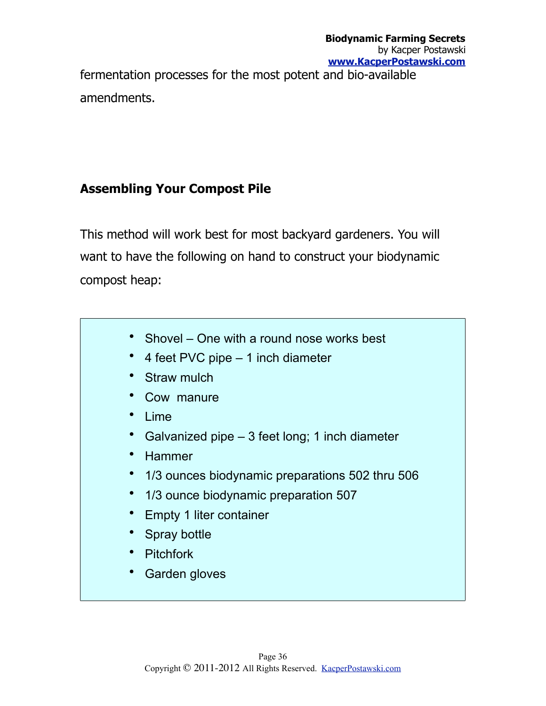fermentation processes for the most potent and bio-available amendments.

#### **Assembling Your Compost Pile**

This method will work best for most backyard gardeners. You will want to have the following on hand to construct your biodynamic compost heap:

- Shovel One with a round nose works best
- 4 feet PVC pipe 1 inch diameter
- Straw mulch
- Cow manure
- Lime
- Galvanized pipe 3 feet long; 1 inch diameter
- Hammer
- 1/3 ounces biodynamic preparations 502 thru 506
- 1/3 ounce biodynamic preparation 507
- Empty 1 liter container
- Spray bottle
- Pitchfork
- Garden gloves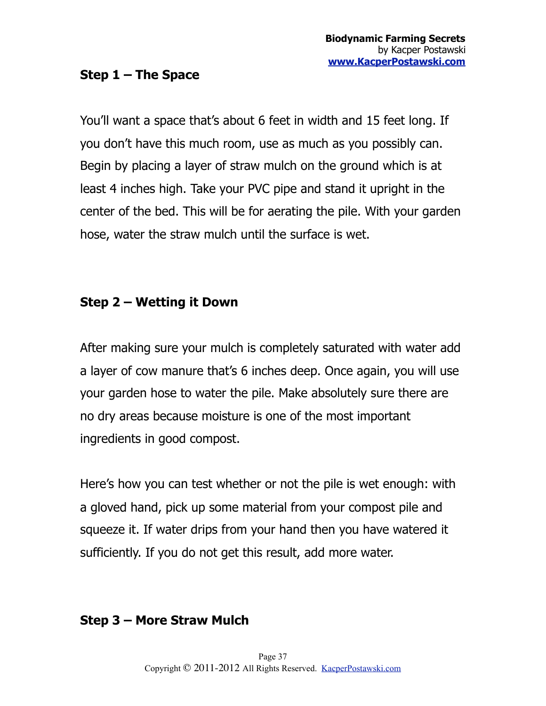#### **Step 1 – The Space**

You'll want a space that's about 6 feet in width and 15 feet long. If you don't have this much room, use as much as you possibly can. Begin by placing a layer of straw mulch on the ground which is at least 4 inches high. Take your PVC pipe and stand it upright in the center of the bed. This will be for aerating the pile. With your garden hose, water the straw mulch until the surface is wet.

#### **Step 2 – Wetting it Down**

After making sure your mulch is completely saturated with water add a layer of cow manure that's 6 inches deep. Once again, you will use your garden hose to water the pile. Make absolutely sure there are no dry areas because moisture is one of the most important ingredients in good compost.

Here's how you can test whether or not the pile is wet enough: with a gloved hand, pick up some material from your compost pile and squeeze it. If water drips from your hand then you have watered it sufficiently. If you do not get this result, add more water.

#### **Step 3 – More Straw Mulch**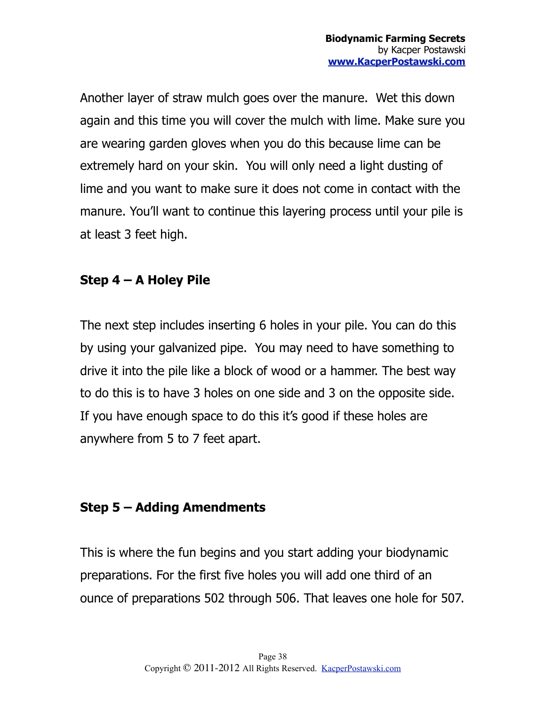Another layer of straw mulch goes over the manure. Wet this down again and this time you will cover the mulch with lime. Make sure you are wearing garden gloves when you do this because lime can be extremely hard on your skin. You will only need a light dusting of lime and you want to make sure it does not come in contact with the manure. You'll want to continue this layering process until your pile is at least 3 feet high.

#### **Step 4 – A Holey Pile**

The next step includes inserting 6 holes in your pile. You can do this by using your galvanized pipe. You may need to have something to drive it into the pile like a block of wood or a hammer. The best way to do this is to have 3 holes on one side and 3 on the opposite side. If you have enough space to do this it's good if these holes are anywhere from 5 to 7 feet apart.

#### **Step 5 – Adding Amendments**

This is where the fun begins and you start adding your biodynamic preparations. For the first five holes you will add one third of an ounce of preparations 502 through 506. That leaves one hole for 507.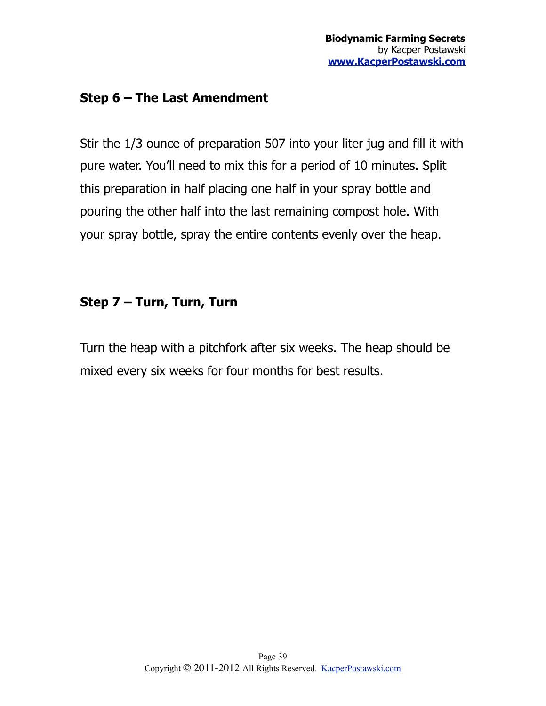#### **Step 6 – The Last Amendment**

Stir the 1/3 ounce of preparation 507 into your liter jug and fill it with pure water. You'll need to mix this for a period of 10 minutes. Split this preparation in half placing one half in your spray bottle and pouring the other half into the last remaining compost hole. With your spray bottle, spray the entire contents evenly over the heap.

#### **Step 7 – Turn, Turn, Turn**

Turn the heap with a pitchfork after six weeks. The heap should be mixed every six weeks for four months for best results.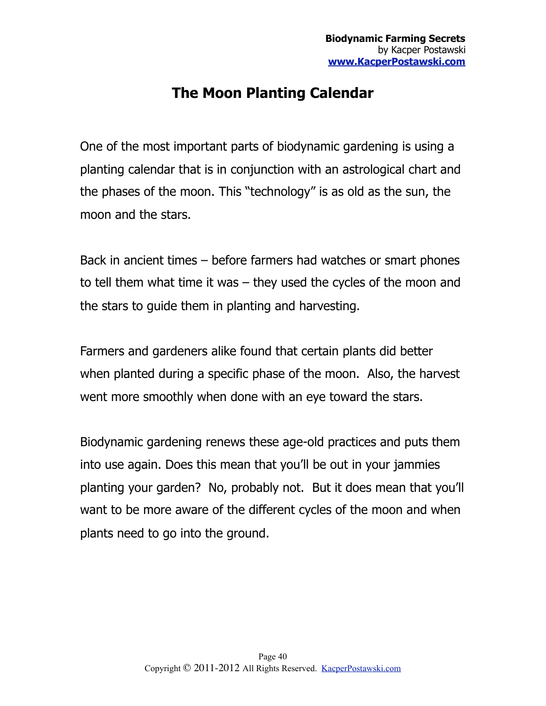### <span id="page-39-0"></span>**The Moon Planting Calendar**

One of the most important parts of biodynamic gardening is using a planting calendar that is in conjunction with an astrological chart and the phases of the moon. This "technology" is as old as the sun, the moon and the stars.

Back in ancient times – before farmers had watches or smart phones to tell them what time it was – they used the cycles of the moon and the stars to guide them in planting and harvesting.

Farmers and gardeners alike found that certain plants did better when planted during a specific phase of the moon. Also, the harvest went more smoothly when done with an eye toward the stars.

Biodynamic gardening renews these age-old practices and puts them into use again. Does this mean that you'll be out in your jammies planting your garden? No, probably not. But it does mean that you'll want to be more aware of the different cycles of the moon and when plants need to go into the ground.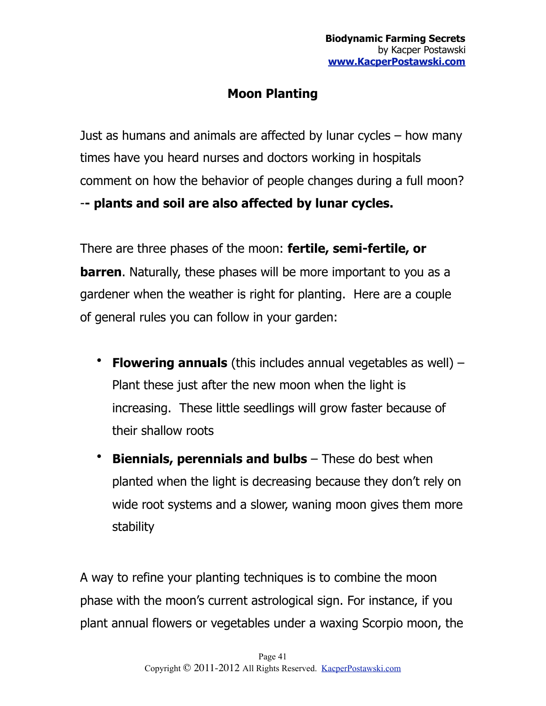#### **Moon Planting**

Just as humans and animals are affected by lunar cycles – how many times have you heard nurses and doctors working in hospitals comment on how the behavior of people changes during a full moon? -**- plants and soil are also affected by lunar cycles.**

There are three phases of the moon: **fertile, semi-fertile, or barren**. Naturally, these phases will be more important to you as a gardener when the weather is right for planting. Here are a couple of general rules you can follow in your garden:

- **Flowering annuals** (this includes annual vegetables as well) Plant these just after the new moon when the light is increasing. These little seedlings will grow faster because of their shallow roots
- **Biennials, perennials and bulbs** These do best when planted when the light is decreasing because they don't rely on wide root systems and a slower, waning moon gives them more stability

A way to refine your planting techniques is to combine the moon phase with the moon's current astrological sign. For instance, if you plant annual flowers or vegetables under a waxing Scorpio moon, the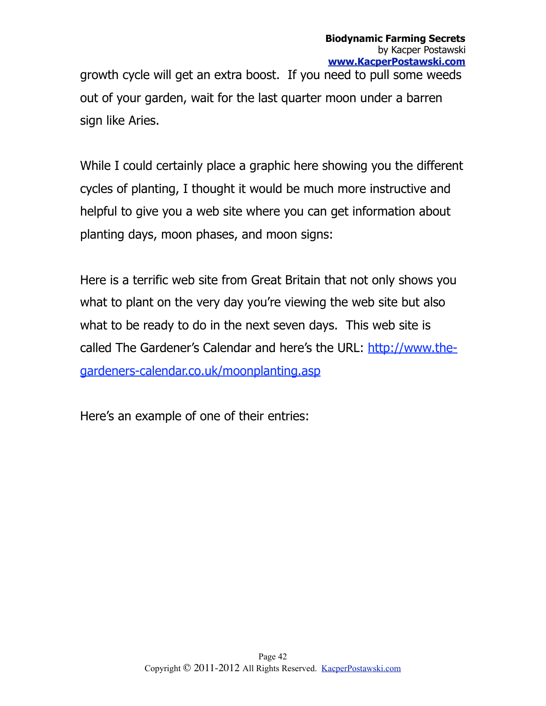growth cycle will get an extra boost. If you need to pull some weeds out of your garden, wait for the last quarter moon under a barren sign like Aries.

While I could certainly place a graphic here showing you the different cycles of planting, I thought it would be much more instructive and helpful to give you a web site where you can get information about planting days, moon phases, and moon signs:

Here is a terrific web site from Great Britain that not only shows you what to plant on the very day you're viewing the web site but also what to be ready to do in the next seven days. This web site is called The Gardener's Calendar and here's the URL: [http://www.the](http://www.the-gardeners-calendar.co.uk/moonplanting.asp)[gardeners-calendar.co.uk/moonplanting.asp](http://www.the-gardeners-calendar.co.uk/moonplanting.asp)

Here's an example of one of their entries: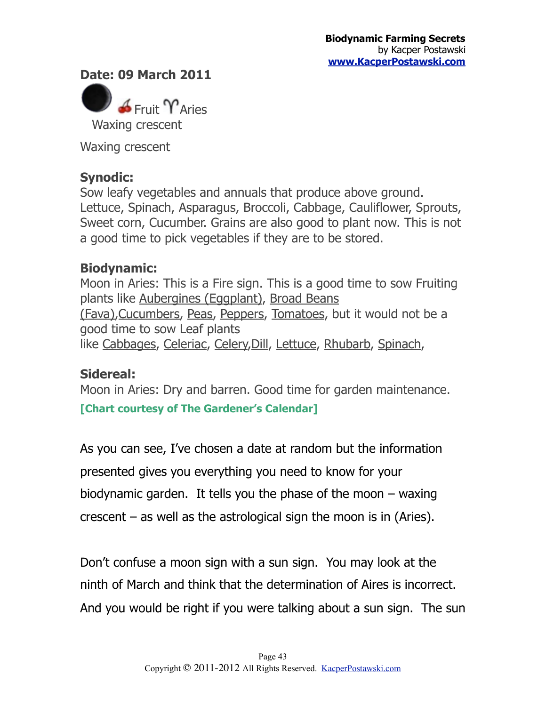**Date: 09 March 2011**



Waxing crescent

#### **Synodic:**

Sow leafy vegetables and annuals that produce above ground. Lettuce, Spinach, Asparagus, Broccoli, Cabbage, Cauliflower, Sprouts, Sweet corn, Cucumber. Grains are also good to plant now. This is not a good time to pick vegetables if they are to be stored.

#### **Biodynamic:**

Moon in Aries: This is a Fire sign. This is a good time to sow Fruiting plants like [Aubergines \(Eggplant\)](http://www.the-gardeners-calendar.co.uk/Plant_Database/plants.asp?p=45), [Broad Beans](http://www.the-gardeners-calendar.co.uk/Plant_Database/plants.asp?p=31)  [\(Fava\),](http://www.the-gardeners-calendar.co.uk/Plant_Database/plants.asp?p=31)[Cucumbers,](http://www.the-gardeners-calendar.co.uk/Plant_Database/plants.asp?p=35) [Peas,](http://www.the-gardeners-calendar.co.uk/Plant_Database/plants.asp?p=30) [Peppers](http://www.the-gardeners-calendar.co.uk/Plant_Database/plants.asp?p=43), [Tomatoes](http://www.the-gardeners-calendar.co.uk/Plant_Database/plants.asp?p=44), but it would not be a good time to sow Leaf plants like [Cabbages,](http://www.the-gardeners-calendar.co.uk/Plant_Database/plants.asp?p=9) [Celeriac,](http://www.the-gardeners-calendar.co.uk/Plant_Database/plants.asp?p=37) [Celery,](http://www.the-gardeners-calendar.co.uk/Plant_Database/plants.asp?p=36)[Dill](http://www.the-gardeners-calendar.co.uk/Plant_Database/plants.asp?p=48), [Lettuce,](http://www.the-gardeners-calendar.co.uk/Plant_Database/plants.asp?p=15) [Rhubarb,](http://www.the-gardeners-calendar.co.uk/Plant_Database/plants.asp?p=42) [Spinach](http://www.the-gardeners-calendar.co.uk/Plant_Database/plants.asp?p=16),

#### **Sidereal:**

Moon in Aries: Dry and barren. Good time for garden maintenance.

**[Chart courtesy of The Gardener's Calendar]**

As you can see, I've chosen a date at random but the information presented gives you everything you need to know for your biodynamic garden. It tells you the phase of the moon  $-$  waxing crescent – as well as the astrological sign the moon is in (Aries).

Don't confuse a moon sign with a sun sign. You may look at the ninth of March and think that the determination of Aires is incorrect. And you would be right if you were talking about a sun sign. The sun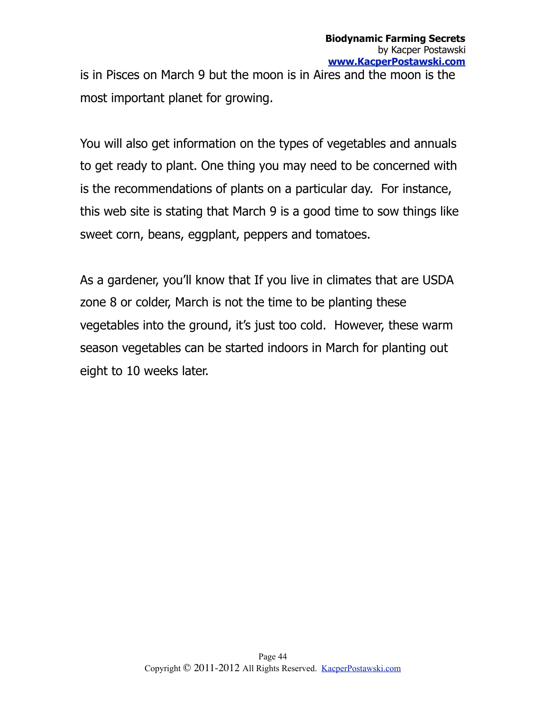is in Pisces on March 9 but the moon is in Aires and the moon is the most important planet for growing.

You will also get information on the types of vegetables and annuals to get ready to plant. One thing you may need to be concerned with is the recommendations of plants on a particular day. For instance, this web site is stating that March 9 is a good time to sow things like sweet corn, beans, eggplant, peppers and tomatoes.

As a gardener, you'll know that If you live in climates that are USDA zone 8 or colder, March is not the time to be planting these vegetables into the ground, it's just too cold. However, these warm season vegetables can be started indoors in March for planting out eight to 10 weeks later.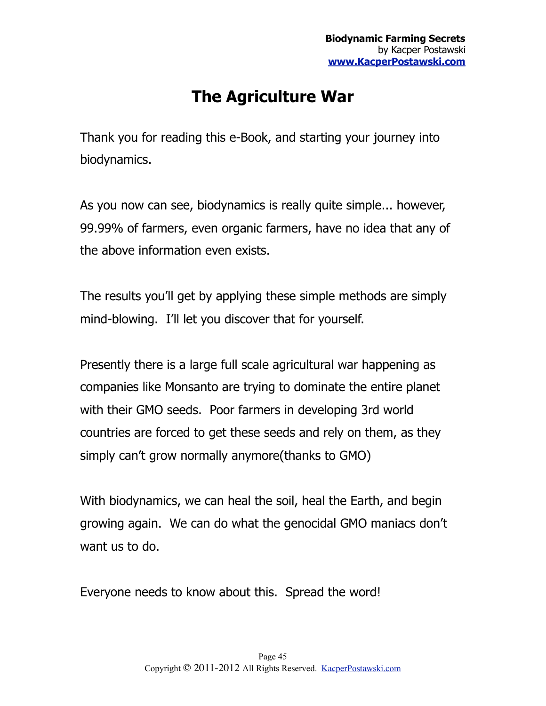## <span id="page-44-0"></span>**The Agriculture War**

Thank you for reading this e-Book, and starting your journey into biodynamics.

As you now can see, biodynamics is really quite simple... however, 99.99% of farmers, even organic farmers, have no idea that any of the above information even exists.

The results you'll get by applying these simple methods are simply mind-blowing. I'll let you discover that for yourself.

Presently there is a large full scale agricultural war happening as companies like Monsanto are trying to dominate the entire planet with their GMO seeds. Poor farmers in developing 3rd world countries are forced to get these seeds and rely on them, as they simply can't grow normally anymore(thanks to GMO)

With biodynamics, we can heal the soil, heal the Earth, and begin growing again. We can do what the genocidal GMO maniacs don't want us to do.

Everyone needs to know about this. Spread the word!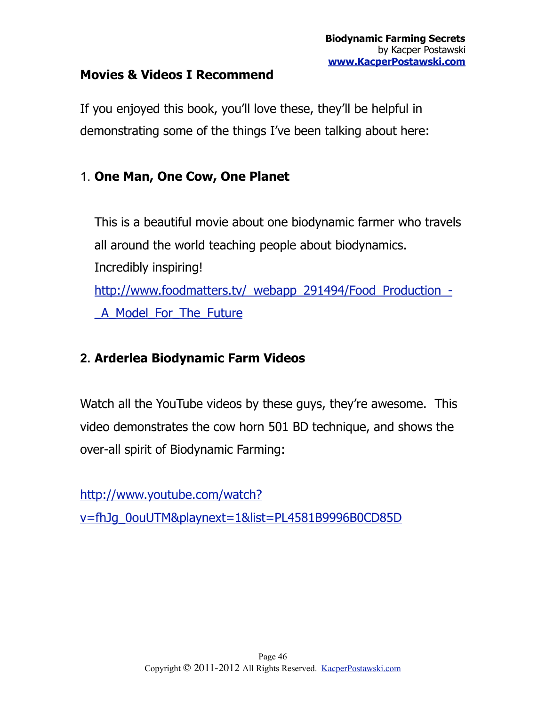#### **Movies & Videos I Recommend**

If you enjoyed this book, you'll love these, they'll be helpful in demonstrating some of the things I've been talking about here:

#### 1. **One Man, One Cow, One Planet**

This is a beautiful movie about one biodynamic farmer who travels all around the world teaching people about biodynamics. Incredibly inspiring! [http://www.foodmatters.tv/\\_webapp\\_291494/Food\\_Production\\_-](http://www.foodmatters.tv/_webapp_291494/Food_Production_-_A_Model_For_The_Future) [\\_A\\_Model\\_For\\_The\\_Future](http://www.foodmatters.tv/_webapp_291494/Food_Production_-_A_Model_For_The_Future)

#### **2. Arderlea Biodynamic Farm Videos**

Watch all the YouTube videos by these guys, they're awesome. This video demonstrates the cow horn 501 BD technique, and shows the over-all spirit of Biodynamic Farming:

[http://www.youtube.com/watch?](http://www.youtube.com/watch?v=fhJg_0ouUTM&playnext=1&list=PL4581B9996B0CD85D)

[v=fhJg\\_0ouUTM&playnext=1&list=PL4581B9996B0CD85D](http://www.youtube.com/watch?v=fhJg_0ouUTM&playnext=1&list=PL4581B9996B0CD85D)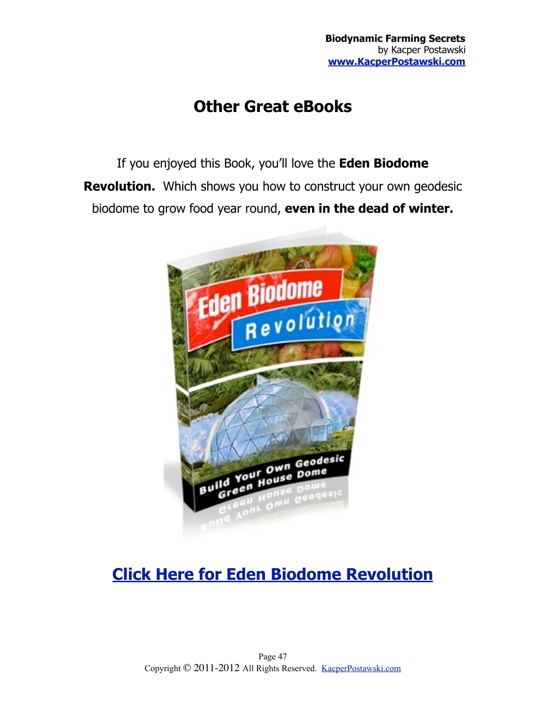## **Other Great eBooks**

If you enjoyed this Book, you'll love the **Eden Biodome Revolution.** Which shows you how to construct your own geodesic biodome to grow food year round, **even in the dead of winter.**



## **[Click Here for Eden Biodome Revolution](http://www.BiodomeRevolution.com)**